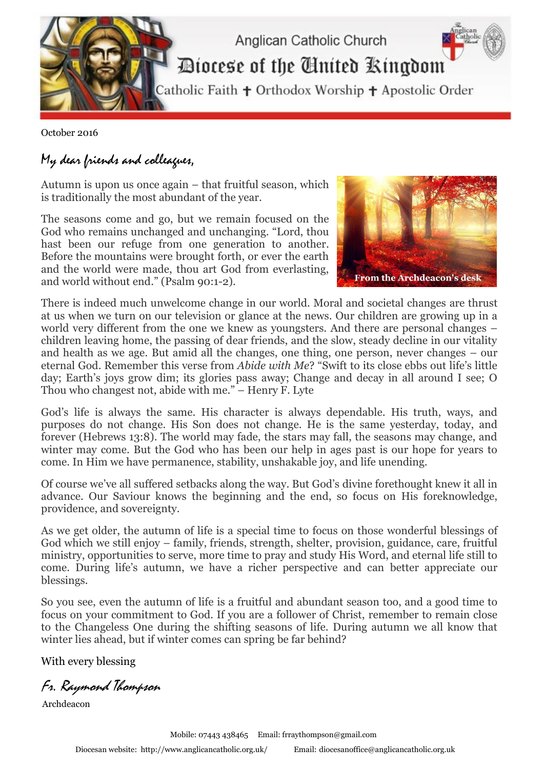

October 2016

## My dear friends and colleagues,

Autumn is upon us once again – that fruitful season, which is traditionally the most abundant of the year.

The seasons come and go, but we remain focused on the God who remains unchanged and unchanging. "Lord, thou hast been our refuge from one generation to another. Before the mountains were brought forth, or ever the earth and the world were made, thou art God from everlasting, and world without end." (Psalm 90:1-2).



There is indeed much unwelcome change in our world. Moral and societal changes are thrust at us when we turn on our television or glance at the news. Our children are growing up in a world very different from the one we knew as youngsters. And there are personal changes – children leaving home, the passing of dear friends, and the slow, steady decline in our vitality and health as we age. But amid all the changes, one thing, one person, never changes – our eternal God. Remember this verse from *Abide with Me*? "Swift to its close ebbs out life's little day; Earth's joys grow dim; its glories pass away; Change and decay in all around I see; O Thou who changest not, abide with me." – Henry F. Lyte

God's life is always the same. His character is always dependable. His truth, ways, and purposes do not change. His Son does not change. He is the same yesterday, today, and forever (Hebrews 13:8). The world may fade, the stars may fall, the seasons may change, and winter may come. But the God who has been our help in ages past is our hope for years to come. In Him we have permanence, stability, unshakable joy, and life unending.

Of course we've all suffered setbacks along the way. But God's divine forethought knew it all in advance. Our Saviour knows the beginning and the end, so focus on His foreknowledge, providence, and sovereignty.

As we get older, the autumn of life is a special time to focus on those wonderful blessings of God which we still enjoy – family, friends, strength, shelter, provision, guidance, care, fruitful ministry, opportunities to serve, more time to pray and study His Word, and eternal life still to come. During life's autumn, we have a richer perspective and can better appreciate our blessings.

So you see, even the autumn of life is a fruitful and abundant season too, and a good time to focus on your commitment to God. If you are a follower of Christ, remember to remain close to the Changeless One during the shifting seasons of life. During autumn we all know that winter lies ahead, but if winter comes can spring be far behind?

With every blessing

Fr. Raymond Thompson

Archdeacon